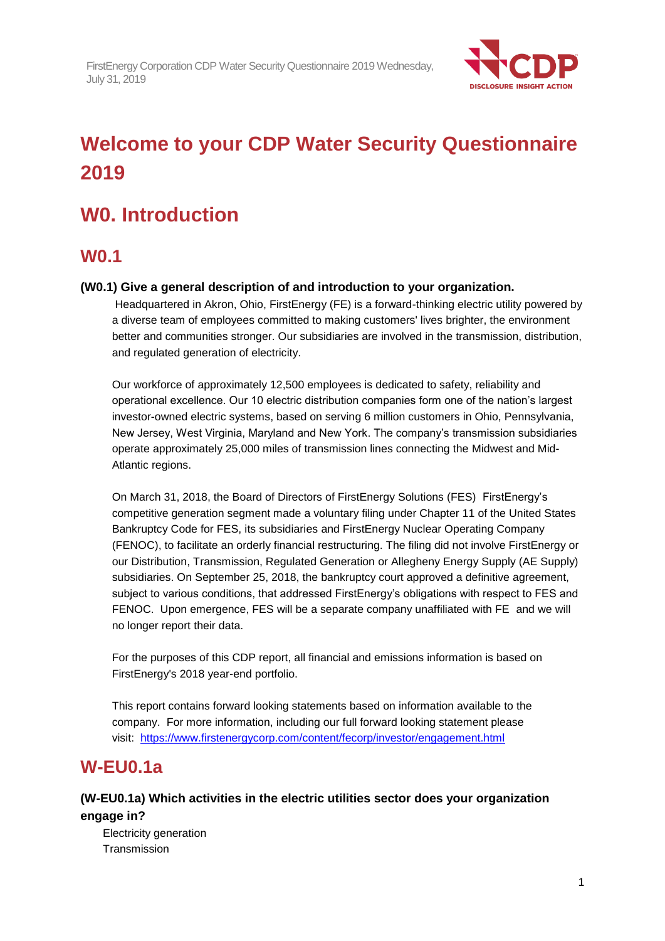

# **Welcome to your CDP Water Security Questionnaire 2019**

# **W0. Introduction**

# **W0.1**

## **(W0.1) Give a general description of and introduction to your organization.**

Headquartered in Akron, Ohio, FirstEnergy (FE) is a forward-thinking electric utility powered by a diverse team of employees committed to making customers' lives brighter, the environment better and communities stronger. Our subsidiaries are involved in the transmission, distribution, and regulated generation of electricity.

Our workforce of approximately 12,500 employees is dedicated to safety, reliability and operational excellence. Our 10 electric distribution companies form one of the nation's largest investor-owned electric systems, based on serving 6 million customers in Ohio, Pennsylvania, New Jersey, West Virginia, Maryland and New York. The company's transmission subsidiaries operate approximately 25,000 miles of transmission lines connecting the Midwest and Mid-Atlantic regions.

On March 31, 2018, the Board of Directors of FirstEnergy Solutions (FES) FirstEnergy's competitive generation segment made a voluntary filing under Chapter 11 of the United States Bankruptcy Code for FES, its subsidiaries and FirstEnergy Nuclear Operating Company (FENOC), to facilitate an orderly financial restructuring. The filing did not involve FirstEnergy or our Distribution, Transmission, Regulated Generation or Allegheny Energy Supply (AE Supply) subsidiaries. On September 25, 2018, the bankruptcy court approved a definitive agreement, subject to various conditions, that addressed FirstEnergy's obligations with respect to FES and FENOC. Upon emergence, FES will be a separate company unaffiliated with FE and we will no longer report their data.

For the purposes of this CDP report, all financial and emissions information is based on FirstEnergy's 2018 year-end portfolio.

This report contains forward looking statements based on information available to the company. For more information, including our full forward looking statement please visit: <https://www.firstenergycorp.com/content/fecorp/investor/engagement.html>

# **W-EU0.1a**

## **(W-EU0.1a) Which activities in the electric utilities sector does your organization engage in?**

Electricity generation **Transmission**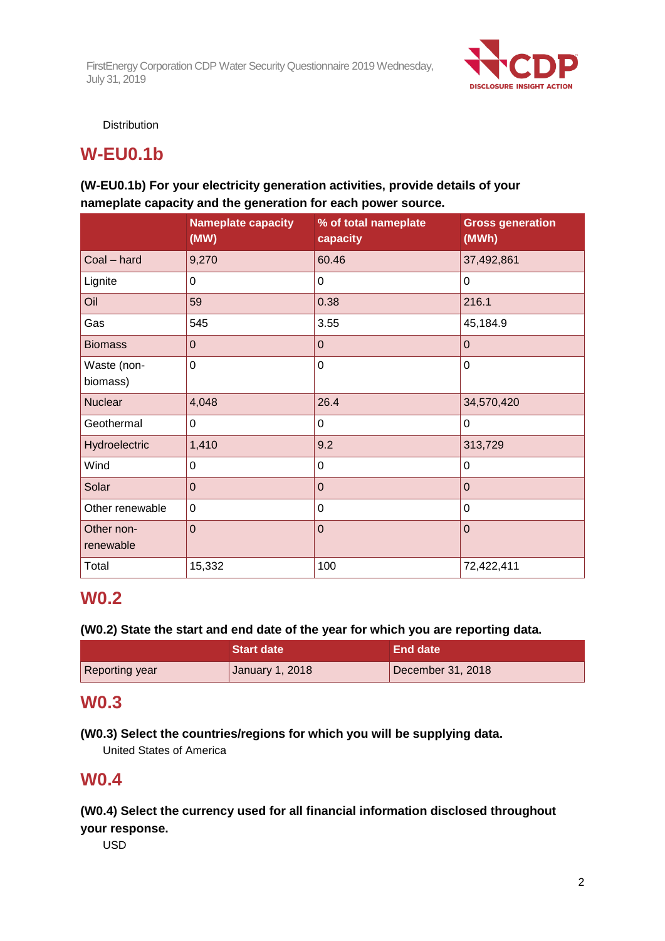

Distribution

# **W-EU0.1b**

## **(W-EU0.1b) For your electricity generation activities, provide details of your nameplate capacity and the generation for each power source.**

|                         | <b>Nameplate capacity</b><br>(MW) | % of total nameplate<br>capacity | <b>Gross generation</b><br>(MWh) |
|-------------------------|-----------------------------------|----------------------------------|----------------------------------|
| Coal - hard             | 9,270                             | 60.46                            | 37,492,861                       |
| Lignite                 | $\mathbf 0$                       | 0                                | 0                                |
| Oil                     | 59                                | 0.38                             | 216.1                            |
| Gas                     | 545                               | 3.55                             | 45,184.9                         |
| <b>Biomass</b>          | $\overline{0}$                    | $\overline{0}$                   | $\Omega$                         |
| Waste (non-<br>biomass) | $\mathbf 0$                       | $\mathbf 0$                      | $\mathbf 0$                      |
| Nuclear                 | 4,048                             | 26.4                             | 34,570,420                       |
| Geothermal              | $\mathbf 0$                       | $\mathbf 0$                      | $\Omega$                         |
| Hydroelectric           | 1,410                             | 9.2                              | 313,729                          |
| Wind                    | $\mathbf 0$                       | $\Omega$                         | 0                                |
| Solar                   | $\overline{0}$                    | $\Omega$                         | $\Omega$                         |
| Other renewable         | $\mathbf 0$                       | $\Omega$                         | $\overline{0}$                   |
| Other non-<br>renewable | $\overline{0}$                    | $\mathbf 0$                      | $\Omega$                         |
| Total                   | 15,332                            | 100                              | 72,422,411                       |

# **W0.2**

## **(W0.2) State the start and end date of the year for which you are reporting data.**

|                | <b>Start date</b> | <b>LEnd date</b> \ |
|----------------|-------------------|--------------------|
| Reporting year | January 1, 2018   | December 31, 2018  |

# **W0.3**

## **(W0.3) Select the countries/regions for which you will be supplying data.**

United States of America

# **W0.4**

## **(W0.4) Select the currency used for all financial information disclosed throughout your response.**

USD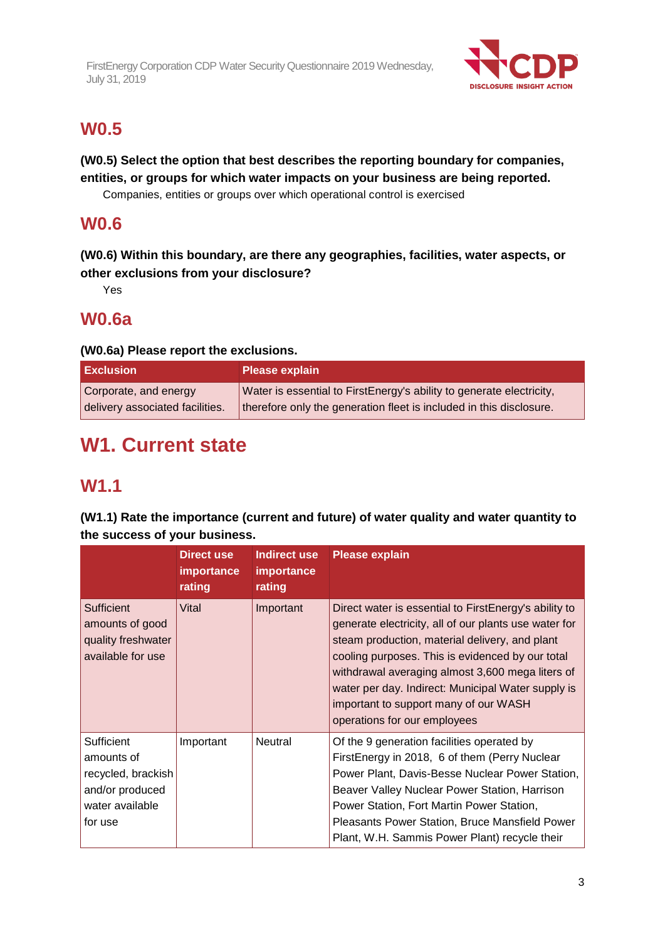

# **W0.5**

**(W0.5) Select the option that best describes the reporting boundary for companies, entities, or groups for which water impacts on your business are being reported.**

Companies, entities or groups over which operational control is exercised

# **W0.6**

**(W0.6) Within this boundary, are there any geographies, facilities, water aspects, or other exclusions from your disclosure?**

Yes

# **W0.6a**

## **(W0.6a) Please report the exclusions.**

| <b>Exclusion</b>                | <b>Please explain</b>                                                |
|---------------------------------|----------------------------------------------------------------------|
| Corporate, and energy           | Water is essential to FirstEnergy's ability to generate electricity, |
| delivery associated facilities. | therefore only the generation fleet is included in this disclosure.  |

# **W1. Current state**

# **W1.1**

**(W1.1) Rate the importance (current and future) of water quality and water quantity to the success of your business.**

|                                                                                                 | Direct use<br><b>importance</b><br>rating | Indirect use<br>importance<br>rating | <b>Please explain</b>                                                                                                                                                                                                                                                                                                                                                                                   |
|-------------------------------------------------------------------------------------------------|-------------------------------------------|--------------------------------------|---------------------------------------------------------------------------------------------------------------------------------------------------------------------------------------------------------------------------------------------------------------------------------------------------------------------------------------------------------------------------------------------------------|
| <b>Sufficient</b><br>amounts of good<br>quality freshwater<br>available for use                 | Vital                                     | Important                            | Direct water is essential to FirstEnergy's ability to<br>generate electricity, all of our plants use water for<br>steam production, material delivery, and plant<br>cooling purposes. This is evidenced by our total<br>withdrawal averaging almost 3,600 mega liters of<br>water per day. Indirect: Municipal Water supply is<br>important to support many of our WASH<br>operations for our employees |
| Sufficient<br>amounts of<br>recycled, brackish<br>and/or produced<br>water available<br>for use | Important                                 | Neutral                              | Of the 9 generation facilities operated by<br>FirstEnergy in 2018, 6 of them (Perry Nuclear<br>Power Plant, Davis-Besse Nuclear Power Station,<br>Beaver Valley Nuclear Power Station, Harrison<br>Power Station, Fort Martin Power Station,<br><b>Pleasants Power Station, Bruce Mansfield Power</b><br>Plant, W.H. Sammis Power Plant) recycle their                                                  |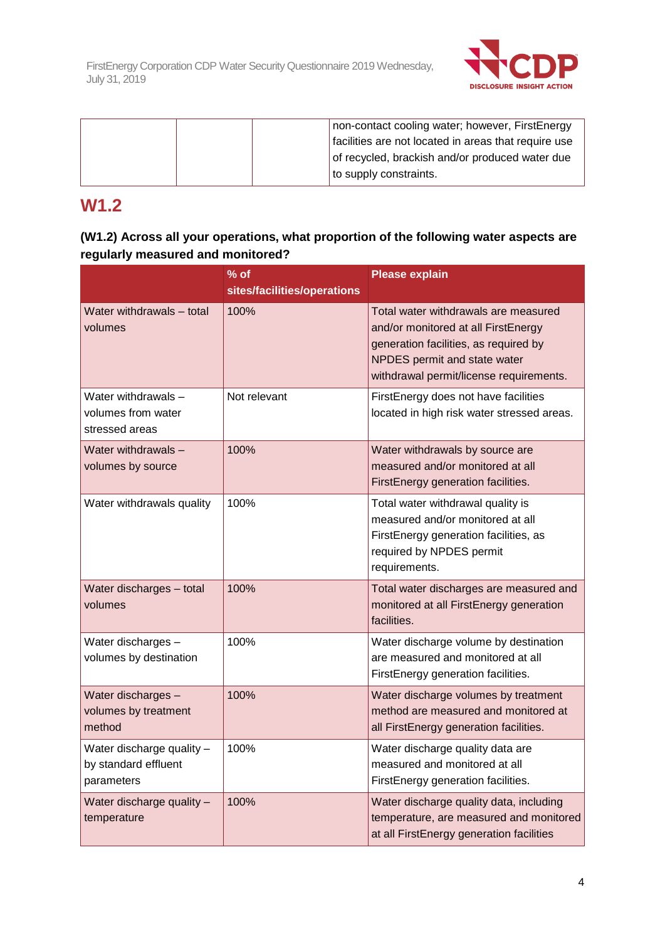

| non-contact cooling water; however, FirstEnergy      |
|------------------------------------------------------|
| facilities are not located in areas that require use |
| of recycled, brackish and/or produced water due      |
| to supply constraints.                               |
|                                                      |

# **W1.2**

| (W1.2) Across all your operations, what proportion of the following water aspects are |  |
|---------------------------------------------------------------------------------------|--|
| regularly measured and monitored?                                                     |  |

|                                                                 | $%$ of<br>sites/facilities/operations | <b>Please explain</b>                                                                                                                                                                           |
|-----------------------------------------------------------------|---------------------------------------|-------------------------------------------------------------------------------------------------------------------------------------------------------------------------------------------------|
| Water withdrawals - total<br>volumes                            | 100%                                  | Total water withdrawals are measured<br>and/or monitored at all FirstEnergy<br>generation facilities, as required by<br>NPDES permit and state water<br>withdrawal permit/license requirements. |
| Water withdrawals -<br>volumes from water<br>stressed areas     | Not relevant                          | FirstEnergy does not have facilities<br>located in high risk water stressed areas.                                                                                                              |
| Water withdrawals -<br>volumes by source                        | 100%                                  | Water withdrawals by source are<br>measured and/or monitored at all<br>FirstEnergy generation facilities.                                                                                       |
| Water withdrawals quality                                       | 100%                                  | Total water withdrawal quality is<br>measured and/or monitored at all<br>FirstEnergy generation facilities, as<br>required by NPDES permit<br>requirements.                                     |
| Water discharges - total<br>volumes                             | 100%                                  | Total water discharges are measured and<br>monitored at all FirstEnergy generation<br>facilities.                                                                                               |
| Water discharges -<br>volumes by destination                    | 100%                                  | Water discharge volume by destination<br>are measured and monitored at all<br>FirstEnergy generation facilities.                                                                                |
| Water discharges -<br>volumes by treatment<br>method            | 100%                                  | Water discharge volumes by treatment<br>method are measured and monitored at<br>all FirstEnergy generation facilities.                                                                          |
| Water discharge quality -<br>by standard effluent<br>parameters | 100%                                  | Water discharge quality data are<br>measured and monitored at all<br>FirstEnergy generation facilities.                                                                                         |
| Water discharge quality -<br>temperature                        | 100%                                  | Water discharge quality data, including<br>temperature, are measured and monitored<br>at all FirstEnergy generation facilities                                                                  |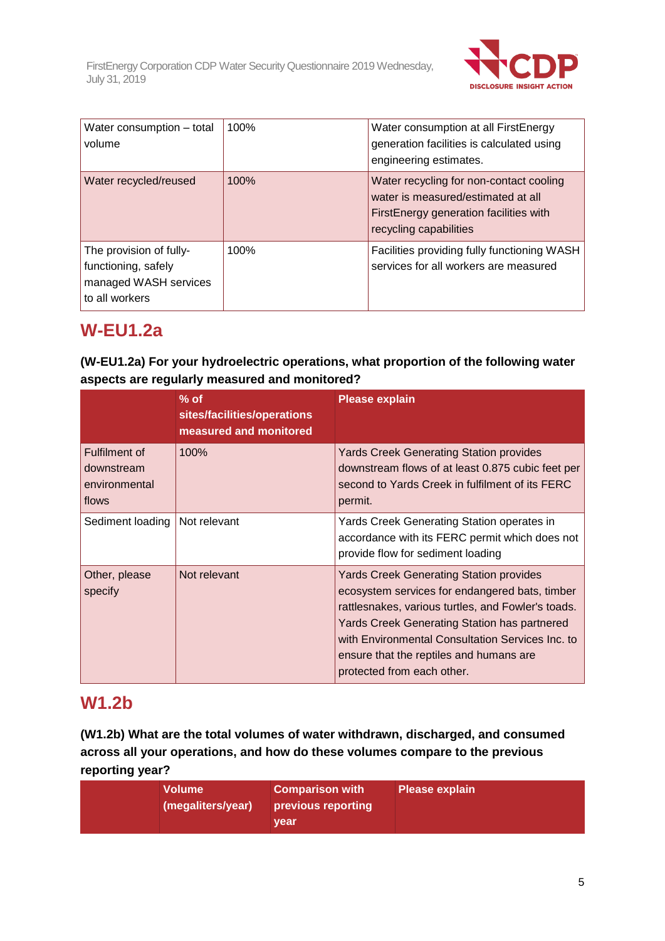

| Water consumption - total<br>volume                                                       | 100% | Water consumption at all FirstEnergy<br>generation facilities is calculated using<br>engineering estimates.                                       |
|-------------------------------------------------------------------------------------------|------|---------------------------------------------------------------------------------------------------------------------------------------------------|
| Water recycled/reused                                                                     | 100% | Water recycling for non-contact cooling<br>water is measured/estimated at all<br>FirstEnergy generation facilities with<br>recycling capabilities |
| The provision of fully-<br>functioning, safely<br>managed WASH services<br>to all workers | 100% | Facilities providing fully functioning WASH<br>services for all workers are measured                                                              |

# **W-EU1.2a**

## **(W-EU1.2a) For your hydroelectric operations, what proportion of the following water aspects are regularly measured and monitored?**

|                                                       | $%$ of<br>sites/facilities/operations<br>measured and monitored | <b>Please explain</b>                                                                                                                                                                                                                                                                                                                      |
|-------------------------------------------------------|-----------------------------------------------------------------|--------------------------------------------------------------------------------------------------------------------------------------------------------------------------------------------------------------------------------------------------------------------------------------------------------------------------------------------|
| Fulfilment of<br>downstream<br>environmental<br>flows | 100%                                                            | <b>Yards Creek Generating Station provides</b><br>downstream flows of at least 0.875 cubic feet per<br>second to Yards Creek in fulfilment of its FERC<br>permit.                                                                                                                                                                          |
| Sediment loading                                      | Not relevant                                                    | Yards Creek Generating Station operates in<br>accordance with its FERC permit which does not<br>provide flow for sediment loading                                                                                                                                                                                                          |
| Other, please<br>specify                              | Not relevant                                                    | <b>Yards Creek Generating Station provides</b><br>ecosystem services for endangered bats, timber<br>rattlesnakes, various turtles, and Fowler's toads.<br><b>Yards Creek Generating Station has partnered</b><br>with Environmental Consultation Services Inc. to<br>ensure that the reptiles and humans are<br>protected from each other. |

# **W1.2b**

**(W1.2b) What are the total volumes of water withdrawn, discharged, and consumed across all your operations, and how do these volumes compare to the previous reporting year?**

| <b>Comparison with</b><br><b>Volume</b><br>(megaliters/year)<br>previous reporting<br>vear | <b>Please explain</b> |
|--------------------------------------------------------------------------------------------|-----------------------|
|--------------------------------------------------------------------------------------------|-----------------------|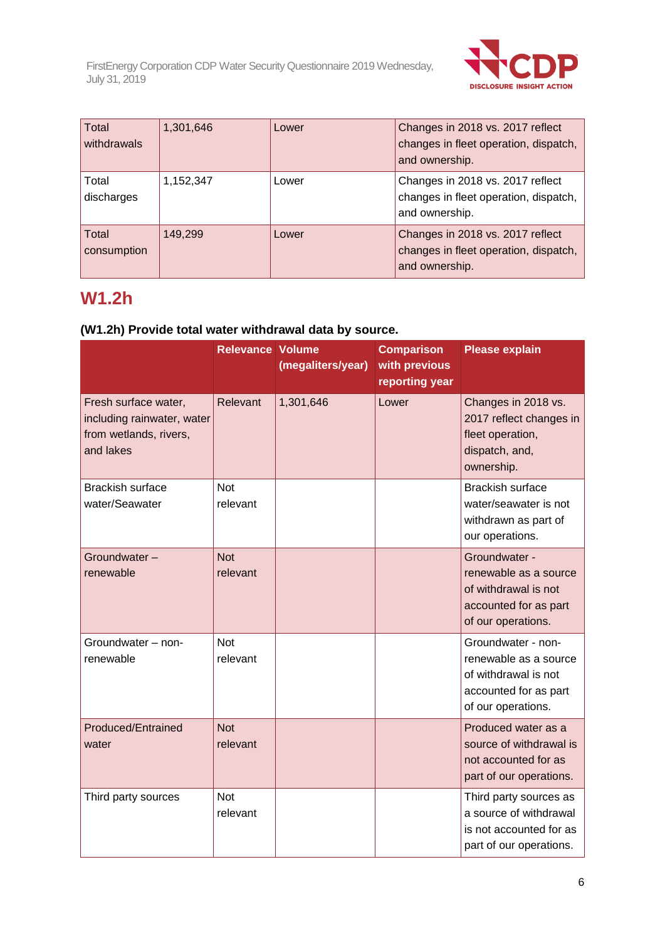

| <b>Total</b><br>withdrawals | 1,301,646 | Lower | Changes in 2018 vs. 2017 reflect<br>changes in fleet operation, dispatch,<br>and ownership. |
|-----------------------------|-----------|-------|---------------------------------------------------------------------------------------------|
| Total<br>discharges         | 1,152,347 | Lower | Changes in 2018 vs. 2017 reflect<br>changes in fleet operation, dispatch,<br>and ownership. |
| Total<br>consumption        | 149.299   | Lower | Changes in 2018 vs. 2017 reflect<br>changes in fleet operation, dispatch,<br>and ownership. |

# **W1.2h**

## **(W1.2h) Provide total water withdrawal data by source.**

|                                                                                           | <b>Relevance Volume</b> | (megaliters/year) | <b>Comparison</b><br>with previous<br>reporting year | <b>Please explain</b>                                                                                              |
|-------------------------------------------------------------------------------------------|-------------------------|-------------------|------------------------------------------------------|--------------------------------------------------------------------------------------------------------------------|
| Fresh surface water,<br>including rainwater, water<br>from wetlands, rivers,<br>and lakes | Relevant                | 1,301,646         | Lower                                                | Changes in 2018 vs.<br>2017 reflect changes in<br>fleet operation,<br>dispatch, and,<br>ownership.                 |
| <b>Brackish surface</b><br>water/Seawater                                                 | <b>Not</b><br>relevant  |                   |                                                      | <b>Brackish surface</b><br>water/seawater is not<br>withdrawn as part of<br>our operations.                        |
| Groundwater -<br>renewable                                                                | <b>Not</b><br>relevant  |                   |                                                      | Groundwater -<br>renewable as a source<br>of withdrawal is not<br>accounted for as part<br>of our operations.      |
| Groundwater - non-<br>renewable                                                           | <b>Not</b><br>relevant  |                   |                                                      | Groundwater - non-<br>renewable as a source<br>of withdrawal is not<br>accounted for as part<br>of our operations. |
| <b>Produced/Entrained</b><br>water                                                        | <b>Not</b><br>relevant  |                   |                                                      | Produced water as a<br>source of withdrawal is<br>not accounted for as<br>part of our operations.                  |
| Third party sources                                                                       | <b>Not</b><br>relevant  |                   |                                                      | Third party sources as<br>a source of withdrawal<br>is not accounted for as<br>part of our operations.             |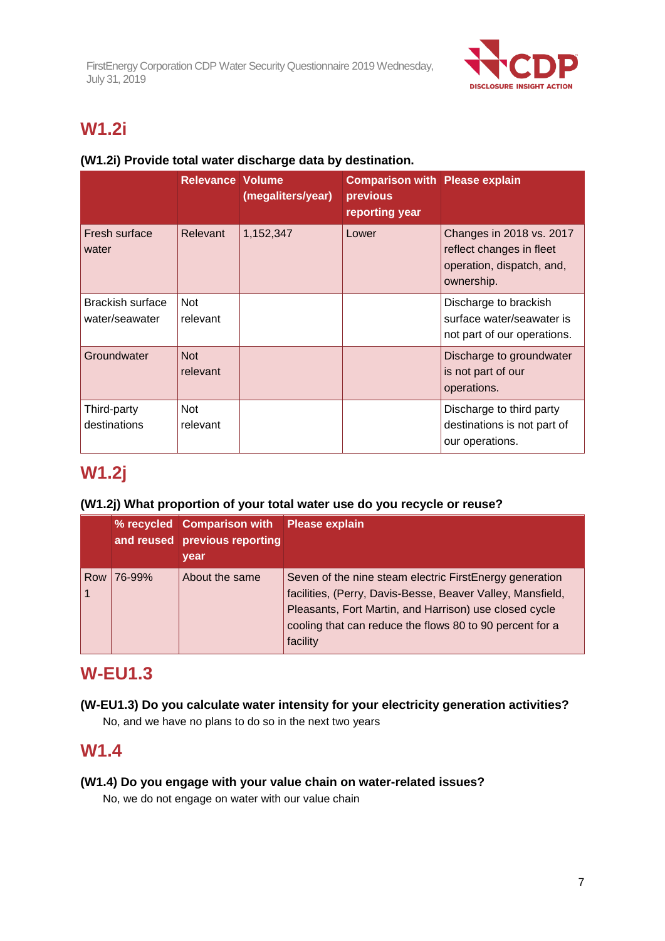

# **W1.2i**

## **(W1.2i) Provide total water discharge data by destination.**

|                                           | <b>Relevance Volume</b> | (megaliters/year) | <b>Comparison with Please explain</b><br>previous<br>reporting year |                                                                                                 |
|-------------------------------------------|-------------------------|-------------------|---------------------------------------------------------------------|-------------------------------------------------------------------------------------------------|
| Fresh surface<br>water                    | Relevant                | 1,152,347         | Lower                                                               | Changes in 2018 vs. 2017<br>reflect changes in fleet<br>operation, dispatch, and,<br>ownership. |
| <b>Brackish surface</b><br>water/seawater | <b>Not</b><br>relevant  |                   |                                                                     | Discharge to brackish<br>surface water/seawater is<br>not part of our operations.               |
| Groundwater                               | <b>Not</b><br>relevant  |                   |                                                                     | Discharge to groundwater<br>is not part of our<br>operations.                                   |
| Third-party<br>destinations               | <b>Not</b><br>relevant  |                   |                                                                     | Discharge to third party<br>destinations is not part of<br>our operations.                      |

# **W1.2j**

## **(W1.2j) What proportion of your total water use do you recycle or reuse?**

|     |        | % recycled Comparison with<br>and reused previous reporting<br>year | <b>Please explain</b>                                                                                                                                                                                                                                   |
|-----|--------|---------------------------------------------------------------------|---------------------------------------------------------------------------------------------------------------------------------------------------------------------------------------------------------------------------------------------------------|
| Row | 76-99% | About the same                                                      | Seven of the nine steam electric FirstEnergy generation<br>facilities, (Perry, Davis-Besse, Beaver Valley, Mansfield,<br>Pleasants, Fort Martin, and Harrison) use closed cycle<br>cooling that can reduce the flows 80 to 90 percent for a<br>facility |

# **W-EU1.3**

## **(W-EU1.3) Do you calculate water intensity for your electricity generation activities?**

No, and we have no plans to do so in the next two years

# **W1.4**

#### **(W1.4) Do you engage with your value chain on water-related issues?**

No, we do not engage on water with our value chain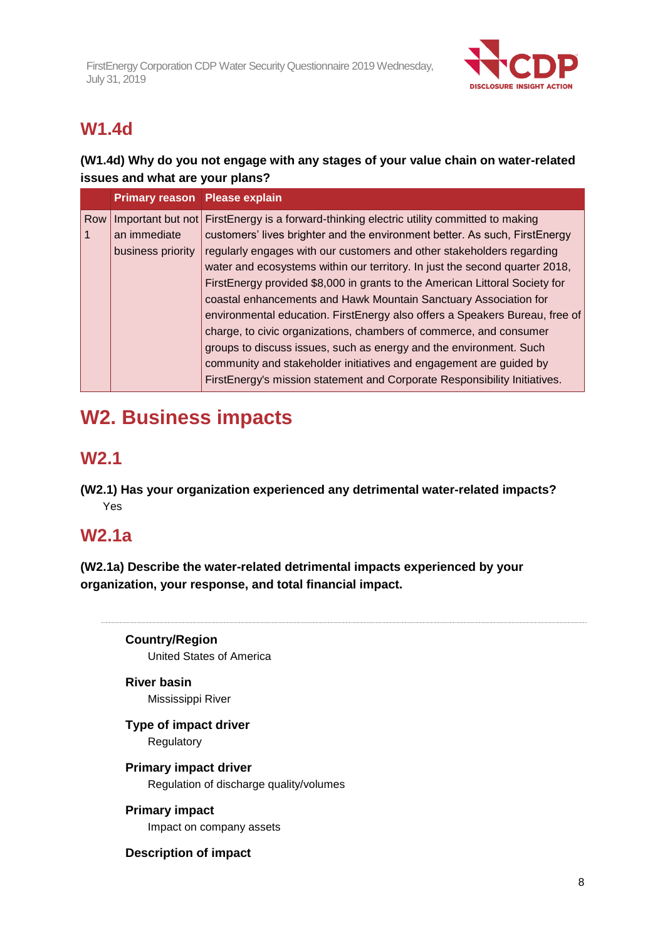

# **W1.4d**

## **(W1.4d) Why do you not engage with any stages of your value chain on water-related issues and what are your plans?**

|     | <b>Primary reason</b> Please explain |                                                                             |
|-----|--------------------------------------|-----------------------------------------------------------------------------|
| Row | Important but not                    | First Energy is a forward-thinking electric utility committed to making     |
|     | an immediate                         | customers' lives brighter and the environment better. As such, FirstEnergy  |
|     | business priority                    | regularly engages with our customers and other stakeholders regarding       |
|     |                                      | water and ecosystems within our territory. In just the second quarter 2018, |
|     |                                      | FirstEnergy provided \$8,000 in grants to the American Littoral Society for |
|     |                                      | coastal enhancements and Hawk Mountain Sanctuary Association for            |
|     |                                      | environmental education. FirstEnergy also offers a Speakers Bureau, free of |
|     |                                      | charge, to civic organizations, chambers of commerce, and consumer          |
|     |                                      | groups to discuss issues, such as energy and the environment. Such          |
|     |                                      | community and stakeholder initiatives and engagement are guided by          |
|     |                                      | FirstEnergy's mission statement and Corporate Responsibility Initiatives.   |

# **W2. Business impacts**

# **W2.1**

**(W2.1) Has your organization experienced any detrimental water-related impacts?** Yes

# **W2.1a**

**(W2.1a) Describe the water-related detrimental impacts experienced by your organization, your response, and total financial impact.**

> **Country/Region** United States of America

**River basin** Mississippi River

**Type of impact driver**

Regulatory

**Primary impact driver** Regulation of discharge quality/volumes

**Primary impact**

Impact on company assets

**Description of impact**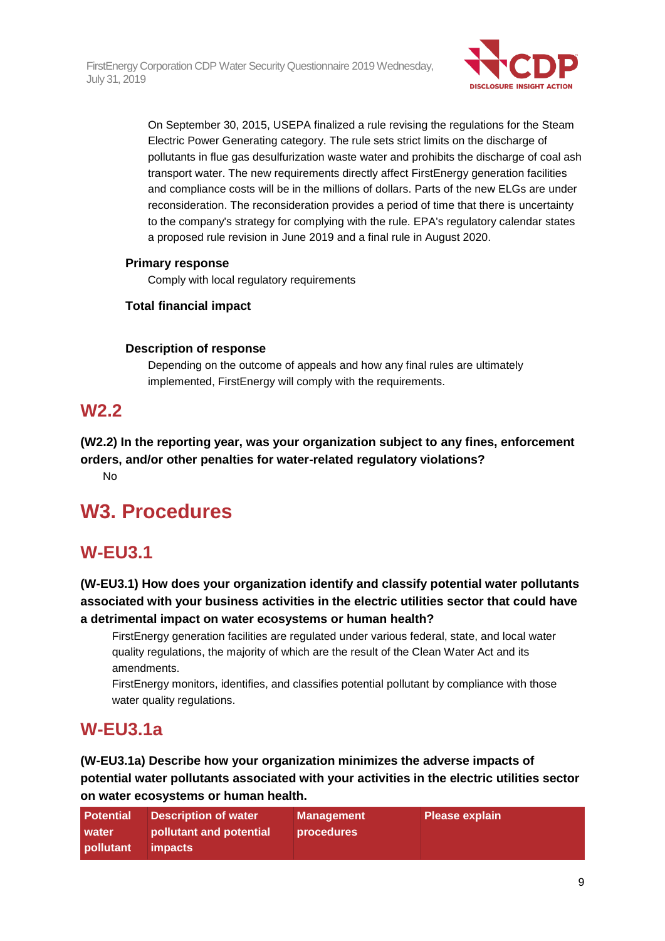

On September 30, 2015, USEPA finalized a rule revising the regulations for the Steam Electric Power Generating category. The rule sets strict limits on the discharge of pollutants in flue gas desulfurization waste water and prohibits the discharge of coal ash transport water. The new requirements directly affect FirstEnergy generation facilities and compliance costs will be in the millions of dollars. Parts of the new ELGs are under reconsideration. The reconsideration provides a period of time that there is uncertainty to the company's strategy for complying with the rule. EPA's regulatory calendar states a proposed rule revision in June 2019 and a final rule in August 2020.

### **Primary response**

Comply with local regulatory requirements

### **Total financial impact**

### **Description of response**

Depending on the outcome of appeals and how any final rules are ultimately implemented, FirstEnergy will comply with the requirements.

# **W2.2**

**(W2.2) In the reporting year, was your organization subject to any fines, enforcement orders, and/or other penalties for water-related regulatory violations?** No

# **W3. Procedures**

# **W-EU3.1**

**(W-EU3.1) How does your organization identify and classify potential water pollutants associated with your business activities in the electric utilities sector that could have a detrimental impact on water ecosystems or human health?**

FirstEnergy generation facilities are regulated under various federal, state, and local water quality regulations, the majority of which are the result of the Clean Water Act and its amendments.

FirstEnergy monitors, identifies, and classifies potential pollutant by compliance with those water quality regulations.

# **W-EU3.1a**

**(W-EU3.1a) Describe how your organization minimizes the adverse impacts of potential water pollutants associated with your activities in the electric utilities sector on water ecosystems or human health.**

| <b>Potential</b> | <b>Description of water</b> | <b>Management</b> | <b>Please explain</b> |
|------------------|-----------------------------|-------------------|-----------------------|
| water            | pollutant and potential     | procedures        |                       |
| pollutant        | <i>impacts</i>              |                   |                       |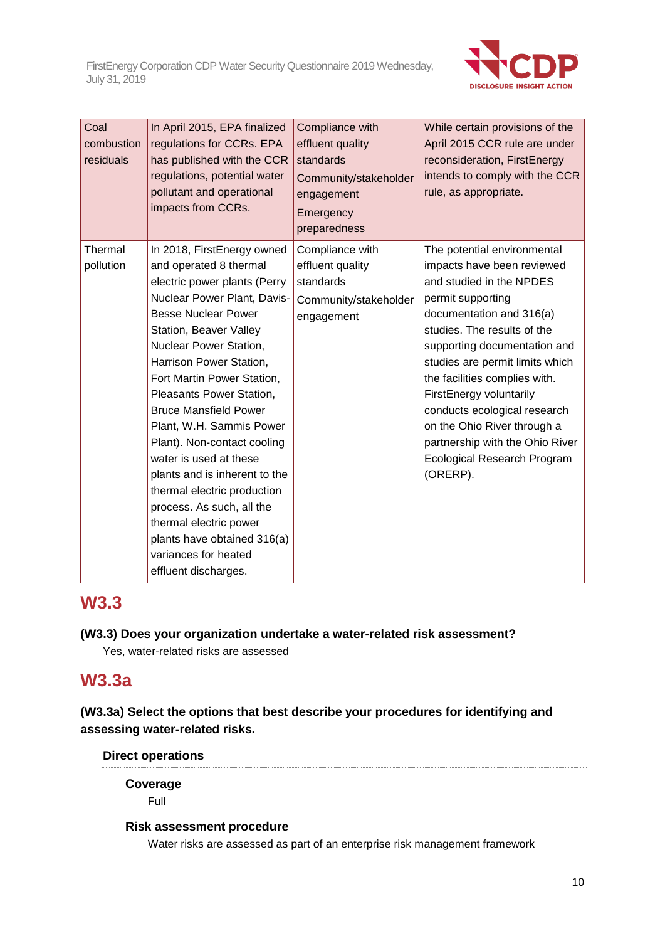

| Coal<br>combustion<br>residuals | In April 2015, EPA finalized<br>regulations for CCRs. EPA<br>has published with the CCR<br>regulations, potential water<br>pollutant and operational<br>impacts from CCRs.                                                                                                                                                                                                                                                                                                                                                                                                                                            | Compliance with<br>effluent quality<br>standards<br>Community/stakeholder<br>engagement<br>Emergency<br>preparedness | While certain provisions of the<br>April 2015 CCR rule are under<br>reconsideration, FirstEnergy<br>intends to comply with the CCR<br>rule, as appropriate.                                                                                                                                                                                                                                                                                              |
|---------------------------------|-----------------------------------------------------------------------------------------------------------------------------------------------------------------------------------------------------------------------------------------------------------------------------------------------------------------------------------------------------------------------------------------------------------------------------------------------------------------------------------------------------------------------------------------------------------------------------------------------------------------------|----------------------------------------------------------------------------------------------------------------------|----------------------------------------------------------------------------------------------------------------------------------------------------------------------------------------------------------------------------------------------------------------------------------------------------------------------------------------------------------------------------------------------------------------------------------------------------------|
| Thermal<br>pollution            | In 2018, FirstEnergy owned<br>and operated 8 thermal<br>electric power plants (Perry<br>Nuclear Power Plant, Davis-<br><b>Besse Nuclear Power</b><br>Station, Beaver Valley<br>Nuclear Power Station,<br>Harrison Power Station,<br>Fort Martin Power Station,<br>Pleasants Power Station,<br><b>Bruce Mansfield Power</b><br>Plant, W.H. Sammis Power<br>Plant). Non-contact cooling<br>water is used at these<br>plants and is inherent to the<br>thermal electric production<br>process. As such, all the<br>thermal electric power<br>plants have obtained 316(a)<br>variances for heated<br>effluent discharges. | Compliance with<br>effluent quality<br>standards<br>Community/stakeholder<br>engagement                              | The potential environmental<br>impacts have been reviewed<br>and studied in the NPDES<br>permit supporting<br>documentation and 316(a)<br>studies. The results of the<br>supporting documentation and<br>studies are permit limits which<br>the facilities complies with.<br>FirstEnergy voluntarily<br>conducts ecological research<br>on the Ohio River through a<br>partnership with the Ohio River<br><b>Ecological Research Program</b><br>(ORERP). |

# **W3.3**

**(W3.3) Does your organization undertake a water-related risk assessment?** Yes, water-related risks are assessed

# **W3.3a**

**(W3.3a) Select the options that best describe your procedures for identifying and assessing water-related risks.**

**Direct operations**

**Coverage** Full

#### **Risk assessment procedure**

Water risks are assessed as part of an enterprise risk management framework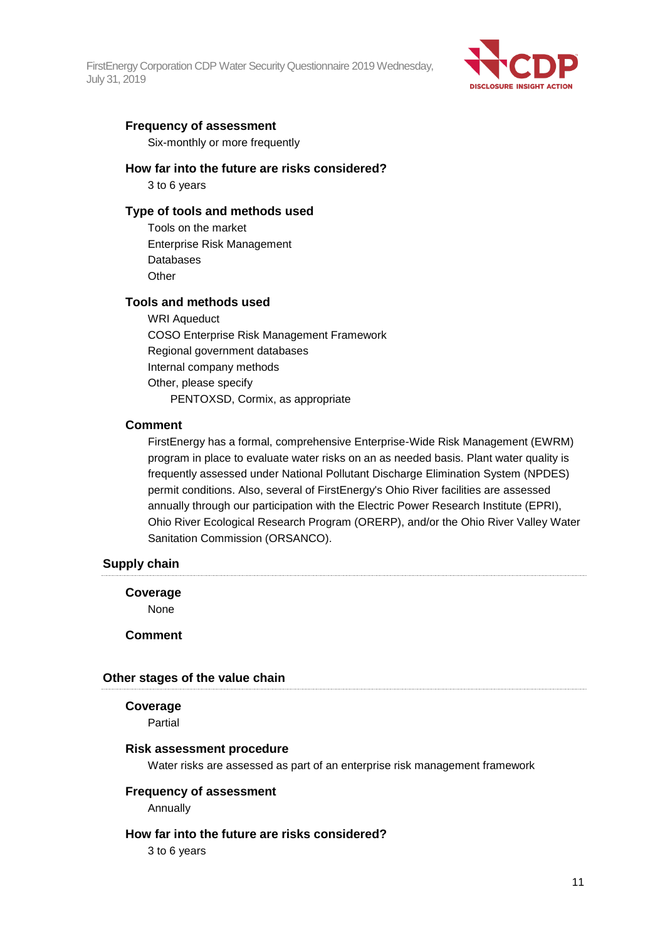

#### **Frequency of assessment**

Six-monthly or more frequently

#### **How far into the future are risks considered?**

3 to 6 years

#### **Type of tools and methods used**

Tools on the market Enterprise Risk Management Databases **Other** 

#### **Tools and methods used**

WRI Aqueduct COSO Enterprise Risk Management Framework Regional government databases Internal company methods Other, please specify PENTOXSD, Cormix, as appropriate

#### **Comment**

FirstEnergy has a formal, comprehensive Enterprise-Wide Risk Management (EWRM) program in place to evaluate water risks on an as needed basis. Plant water quality is frequently assessed under National Pollutant Discharge Elimination System (NPDES) permit conditions. Also, several of FirstEnergy's Ohio River facilities are assessed annually through our participation with the Electric Power Research Institute (EPRI), Ohio River Ecological Research Program (ORERP), and/or the Ohio River Valley Water Sanitation Commission (ORSANCO).

#### **Supply chain**

**Coverage**

None

**Comment**

#### **Other stages of the value chain**

#### **Coverage**

Partial

#### **Risk assessment procedure**

Water risks are assessed as part of an enterprise risk management framework

#### **Frequency of assessment**

Annually

#### **How far into the future are risks considered?**

3 to 6 years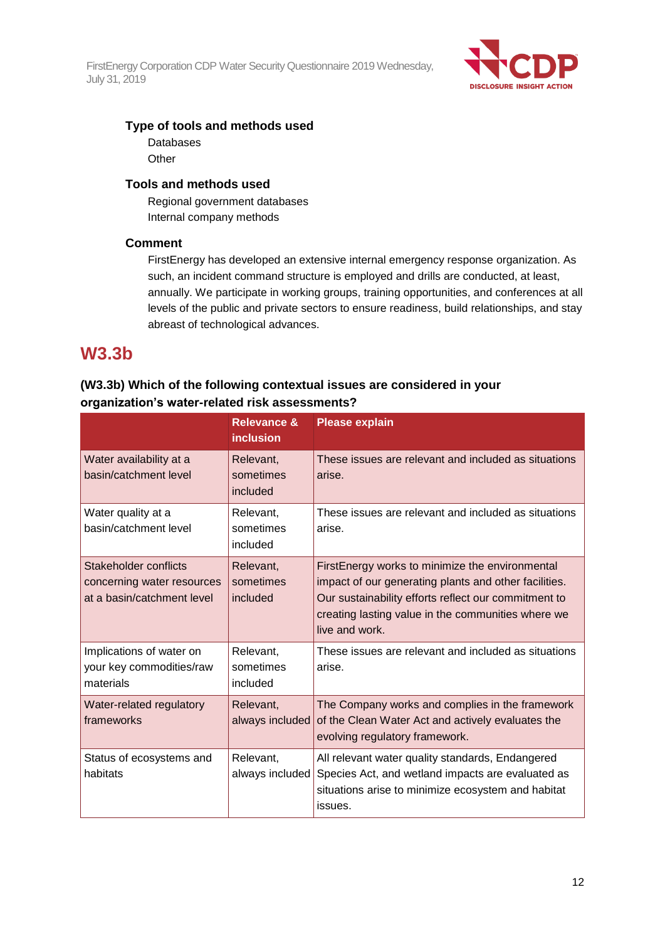

#### **Type of tools and methods used**

Databases **Other** 

#### **Tools and methods used**

Regional government databases Internal company methods

#### **Comment**

FirstEnergy has developed an extensive internal emergency response organization. As such, an incident command structure is employed and drills are conducted, at least, annually. We participate in working groups, training opportunities, and conferences at all levels of the public and private sectors to ensure readiness, build relationships, and stay abreast of technological advances.

# **W3.3b**

## **(W3.3b) Which of the following contextual issues are considered in your organization's water-related risk assessments?**

|                                                                                   | <b>Relevance &amp;</b><br><b>inclusion</b> | <b>Please explain</b>                                                                                                                                                                                                                    |
|-----------------------------------------------------------------------------------|--------------------------------------------|------------------------------------------------------------------------------------------------------------------------------------------------------------------------------------------------------------------------------------------|
| Water availability at a<br>basin/catchment level                                  | Relevant,<br>sometimes<br>included         | These issues are relevant and included as situations<br>arise.                                                                                                                                                                           |
| Water quality at a<br>basin/catchment level                                       | Relevant,<br>sometimes<br>included         | These issues are relevant and included as situations<br>arise.                                                                                                                                                                           |
| Stakeholder conflicts<br>concerning water resources<br>at a basin/catchment level | Relevant,<br>sometimes<br>included         | FirstEnergy works to minimize the environmental<br>impact of our generating plants and other facilities.<br>Our sustainability efforts reflect our commitment to<br>creating lasting value in the communities where we<br>live and work. |
| Implications of water on<br>your key commodities/raw<br>materials                 | Relevant,<br>sometimes<br>included         | These issues are relevant and included as situations<br>arise.                                                                                                                                                                           |
| Water-related regulatory<br>frameworks                                            | Relevant,<br>always included               | The Company works and complies in the framework<br>of the Clean Water Act and actively evaluates the<br>evolving regulatory framework.                                                                                                   |
| Status of ecosystems and<br>habitats                                              | Relevant,<br>always included               | All relevant water quality standards, Endangered<br>Species Act, and wetland impacts are evaluated as<br>situations arise to minimize ecosystem and habitat<br>issues.                                                                   |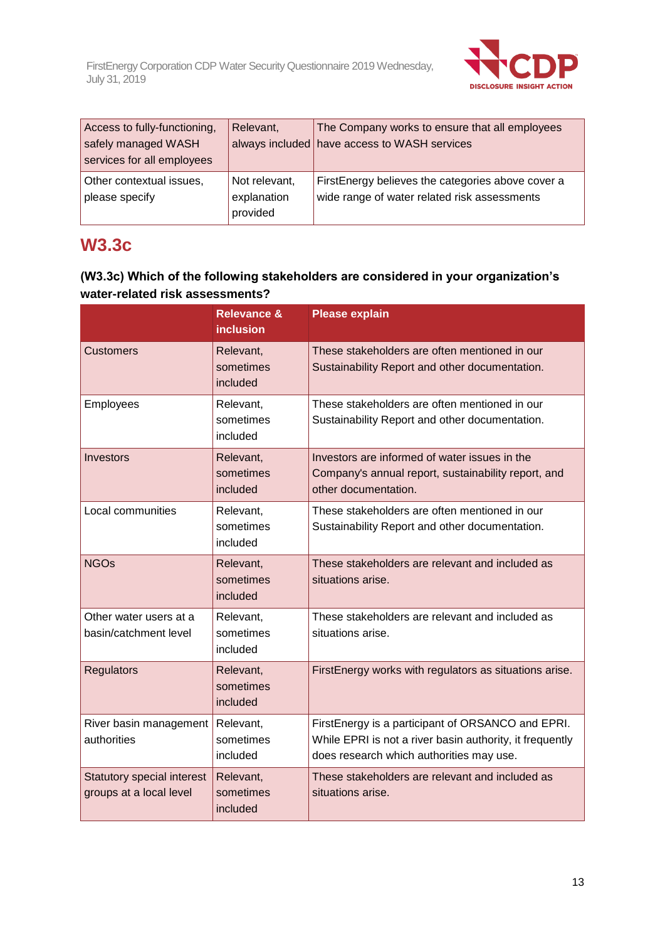

| Access to fully-functioning,<br>safely managed WASH<br>services for all employees | Relevant,                                | The Company works to ensure that all employees<br>always included have access to WASH services    |
|-----------------------------------------------------------------------------------|------------------------------------------|---------------------------------------------------------------------------------------------------|
| Other contextual issues,<br>please specify                                        | Not relevant,<br>explanation<br>provided | FirstEnergy believes the categories above cover a<br>wide range of water related risk assessments |

# **W3.3c**

## **(W3.3c) Which of the following stakeholders are considered in your organization's water-related risk assessments?**

|                                                              | <b>Relevance &amp;</b><br><b>inclusion</b> | <b>Please explain</b>                                                                                                                                     |
|--------------------------------------------------------------|--------------------------------------------|-----------------------------------------------------------------------------------------------------------------------------------------------------------|
| <b>Customers</b>                                             | Relevant,<br>sometimes<br>included         | These stakeholders are often mentioned in our<br>Sustainability Report and other documentation.                                                           |
| Employees                                                    | Relevant,<br>sometimes<br>included         | These stakeholders are often mentioned in our<br>Sustainability Report and other documentation.                                                           |
| Investors                                                    | Relevant,<br>sometimes<br>included         | Investors are informed of water issues in the<br>Company's annual report, sustainability report, and<br>other documentation.                              |
| Local communities                                            | Relevant,<br>sometimes<br>included         | These stakeholders are often mentioned in our<br>Sustainability Report and other documentation.                                                           |
| <b>NGOs</b>                                                  | Relevant,<br>sometimes<br>included         | These stakeholders are relevant and included as<br>situations arise.                                                                                      |
| Other water users at a<br>basin/catchment level              | Relevant,<br>sometimes<br>included         | These stakeholders are relevant and included as<br>situations arise.                                                                                      |
| <b>Regulators</b>                                            | Relevant,<br>sometimes<br>included         | FirstEnergy works with regulators as situations arise.                                                                                                    |
| River basin management<br>authorities                        | Relevant,<br>sometimes<br>included         | FirstEnergy is a participant of ORSANCO and EPRI.<br>While EPRI is not a river basin authority, it frequently<br>does research which authorities may use. |
| <b>Statutory special interest</b><br>groups at a local level | Relevant,<br>sometimes<br>included         | These stakeholders are relevant and included as<br>situations arise.                                                                                      |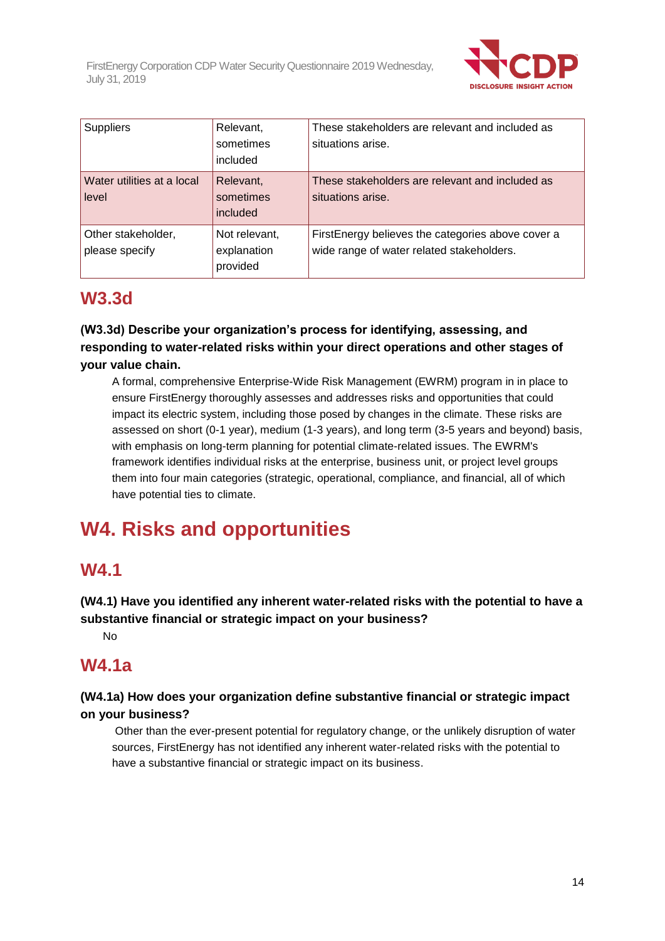

| <b>Suppliers</b>                     | Relevant,<br>sometimes<br>included       | These stakeholders are relevant and included as<br>situations arise.                            |
|--------------------------------------|------------------------------------------|-------------------------------------------------------------------------------------------------|
| Water utilities at a local<br>level  | Relevant,<br>sometimes<br>included       | These stakeholders are relevant and included as<br>situations arise.                            |
| Other stakeholder,<br>please specify | Not relevant,<br>explanation<br>provided | First Energy believes the categories above cover a<br>wide range of water related stakeholders. |

# **W3.3d**

## **(W3.3d) Describe your organization's process for identifying, assessing, and responding to water-related risks within your direct operations and other stages of your value chain.**

A formal, comprehensive Enterprise-Wide Risk Management (EWRM) program in in place to ensure FirstEnergy thoroughly assesses and addresses risks and opportunities that could impact its electric system, including those posed by changes in the climate. These risks are assessed on short (0-1 year), medium (1-3 years), and long term (3-5 years and beyond) basis, with emphasis on long-term planning for potential climate-related issues. The EWRM's framework identifies individual risks at the enterprise, business unit, or project level groups them into four main categories (strategic, operational, compliance, and financial, all of which have potential ties to climate.

# **W4. Risks and opportunities**

# **W4.1**

## **(W4.1) Have you identified any inherent water-related risks with the potential to have a substantive financial or strategic impact on your business?**

No

# **W4.1a**

## **(W4.1a) How does your organization define substantive financial or strategic impact on your business?**

Other than the ever-present potential for regulatory change, or the unlikely disruption of water sources, FirstEnergy has not identified any inherent water-related risks with the potential to have a substantive financial or strategic impact on its business.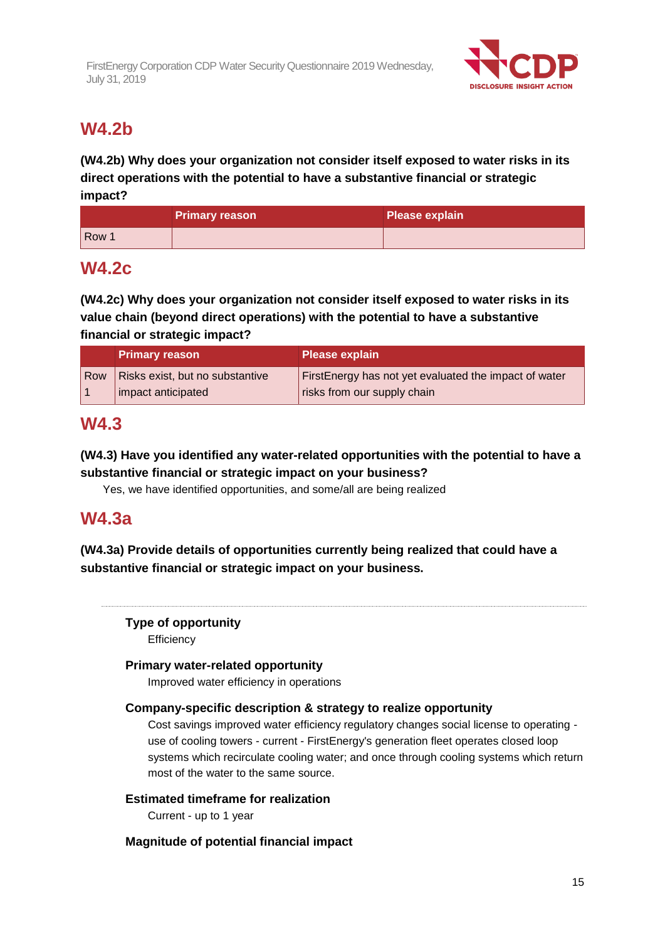

# **W4.2b**

**(W4.2b) Why does your organization not consider itself exposed to water risks in its direct operations with the potential to have a substantive financial or strategic impact?**

|       | <b>Primary reason</b> | <b>Please explain</b> |
|-------|-----------------------|-----------------------|
| Row 1 |                       |                       |

# **W4.2c**

**(W4.2c) Why does your organization not consider itself exposed to water risks in its value chain (beyond direct operations) with the potential to have a substantive financial or strategic impact?**

|     | <b>Primary reason</b>           | <b>Please explain</b>                                 |
|-----|---------------------------------|-------------------------------------------------------|
| Row | Risks exist, but no substantive | FirstEnergy has not yet evaluated the impact of water |
|     | impact anticipated              | risks from our supply chain                           |

# **W4.3**

**(W4.3) Have you identified any water-related opportunities with the potential to have a substantive financial or strategic impact on your business?**

Yes, we have identified opportunities, and some/all are being realized

# **W4.3a**

**(W4.3a) Provide details of opportunities currently being realized that could have a substantive financial or strategic impact on your business.**

**Type of opportunity Efficiency** 

## **Primary water-related opportunity**

Improved water efficiency in operations

## **Company-specific description & strategy to realize opportunity**

Cost savings improved water efficiency regulatory changes social license to operating use of cooling towers - current - FirstEnergy's generation fleet operates closed loop systems which recirculate cooling water; and once through cooling systems which return most of the water to the same source.

## **Estimated timeframe for realization**

Current - up to 1 year

## **Magnitude of potential financial impact**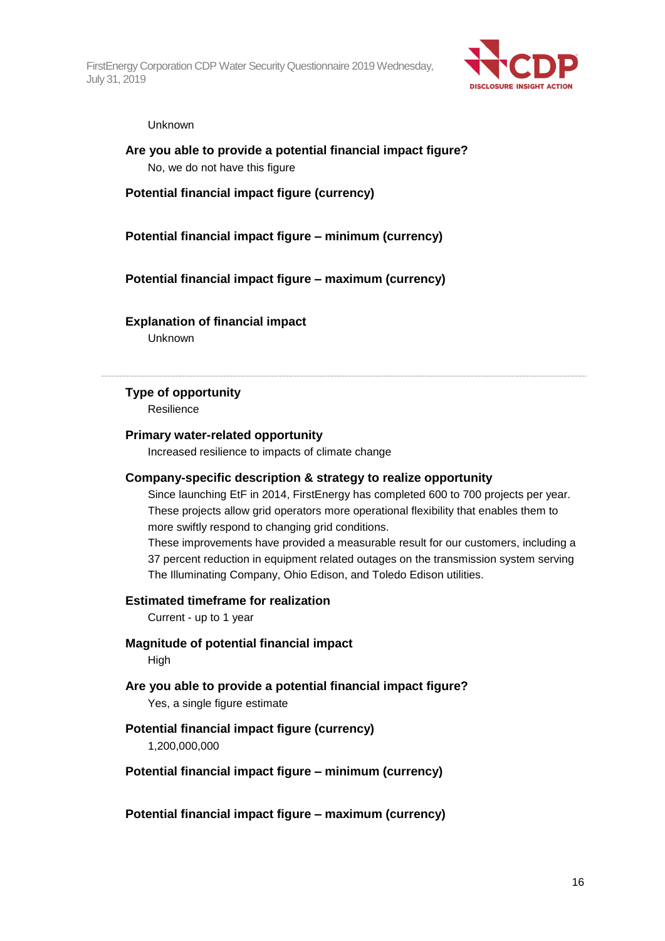

#### Unknown

**Are you able to provide a potential financial impact figure?** No, we do not have this figure

**Potential financial impact figure (currency)**

**Potential financial impact figure – minimum (currency)**

**Potential financial impact figure – maximum (currency)**

#### **Explanation of financial impact**

Unknown

#### **Type of opportunity**

Resilience

#### **Primary water-related opportunity**

Increased resilience to impacts of climate change

#### **Company-specific description & strategy to realize opportunity**

Since launching EtF in 2014, FirstEnergy has completed 600 to 700 projects per year. These projects allow grid operators more operational flexibility that enables them to more swiftly respond to changing grid conditions.

These improvements have provided a measurable result for our customers, including a 37 percent reduction in equipment related outages on the transmission system serving The Illuminating Company, Ohio Edison, and Toledo Edison utilities.

#### **Estimated timeframe for realization**

Current - up to 1 year

**Magnitude of potential financial impact**

High

**Are you able to provide a potential financial impact figure?**

Yes, a single figure estimate

#### **Potential financial impact figure (currency)**

1,200,000,000

#### **Potential financial impact figure – minimum (currency)**

**Potential financial impact figure – maximum (currency)**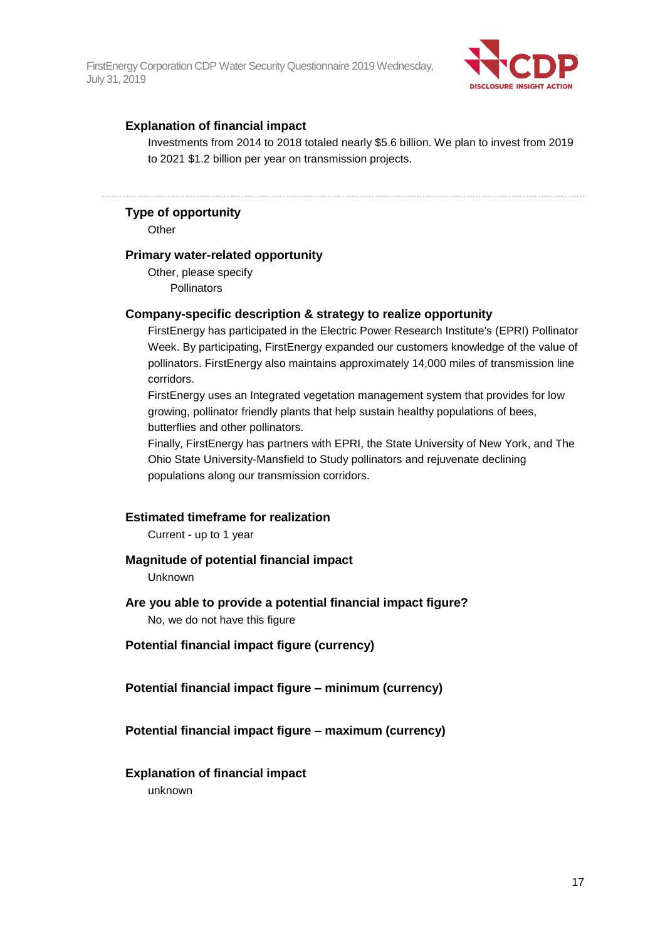

#### **Explanation of financial impact**

Investments from 2014 to 2018 totaled nearly \$5.6 billion. We plan to invest from 2019 to 2021 \$1.2 billion per year on transmission projects.

#### **Type of opportunity**

**Other** 

#### **Primary water-related opportunity**

Other, please specify **Pollinators** 

#### **Company-specific description & strategy to realize opportunity**

FirstEnergy has participated in the Electric Power Research Institute's (EPRI) Pollinator Week. By participating, FirstEnergy expanded our customers knowledge of the value of pollinators. FirstEnergy also maintains approximately 14,000 miles of transmission line corridors.

FirstEnergy uses an Integrated vegetation management system that provides for low growing, pollinator friendly plants that help sustain healthy populations of bees, butterflies and other pollinators.

Finally, FirstEnergy has partners with EPRI, the State University of New York, and The Ohio State University-Mansfield to Study pollinators and rejuvenate declining populations along our transmission corridors.

#### **Estimated timeframe for realization**

Current - up to 1 year

#### **Magnitude of potential financial impact**

Unknown

#### **Are you able to provide a potential financial impact figure?** No, we do not have this figure

**Potential financial impact figure (currency)**

**Potential financial impact figure – minimum (currency)**

**Potential financial impact figure – maximum (currency)**

#### **Explanation of financial impact**

unknown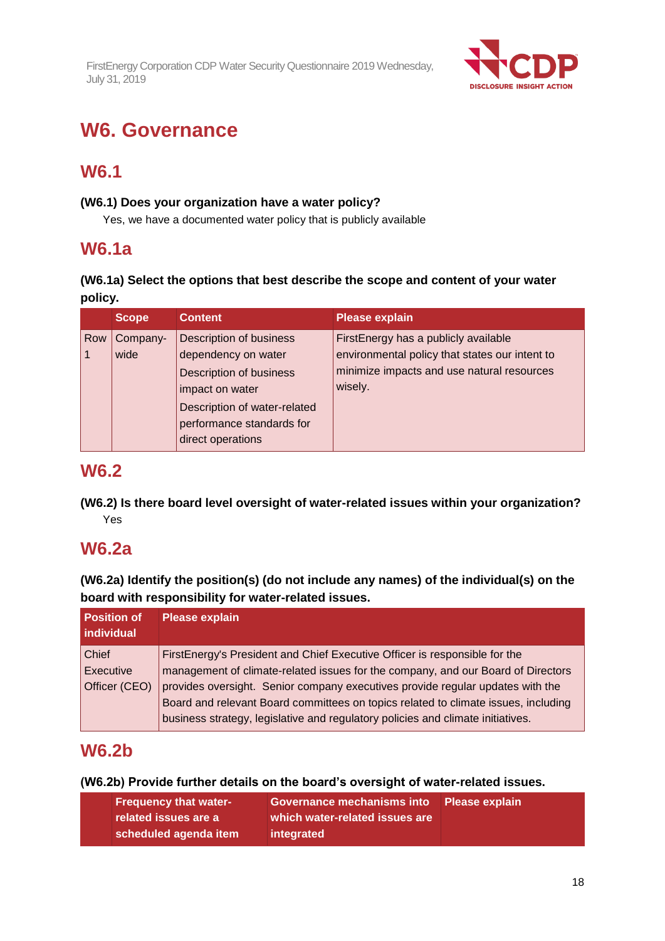

# **W6. Governance**

# **W6.1**

### **(W6.1) Does your organization have a water policy?**

Yes, we have a documented water policy that is publicly available

## **W6.1a**

## **(W6.1a) Select the options that best describe the scope and content of your water policy.**

|     | <b>Scope</b>     | <b>Content</b>                                                                                                                                                                 | <b>Please explain</b>                                                                                                                           |
|-----|------------------|--------------------------------------------------------------------------------------------------------------------------------------------------------------------------------|-------------------------------------------------------------------------------------------------------------------------------------------------|
| Row | Company-<br>wide | Description of business<br>dependency on water<br>Description of business<br>impact on water<br>Description of water-related<br>performance standards for<br>direct operations | FirstEnergy has a publicly available<br>environmental policy that states our intent to<br>minimize impacts and use natural resources<br>wisely. |

# **W6.2**

## **(W6.2) Is there board level oversight of water-related issues within your organization?** Yes

# **W6.2a**

**(W6.2a) Identify the position(s) (do not include any names) of the individual(s) on the board with responsibility for water-related issues.**

| <b>Position of</b><br>individual | <b>Please explain</b>                                                              |
|----------------------------------|------------------------------------------------------------------------------------|
| <b>Chief</b>                     | FirstEnergy's President and Chief Executive Officer is responsible for the         |
| Executive                        | management of climate-related issues for the company, and our Board of Directors   |
| Officer (CEO)                    | provides oversight. Senior company executives provide regular updates with the     |
|                                  | Board and relevant Board committees on topics related to climate issues, including |
|                                  | business strategy, legislative and regulatory policies and climate initiatives.    |

# **W6.2b**

## **(W6.2b) Provide further details on the board's oversight of water-related issues.**

| <b>Frequency that water-</b> | Governance mechanisms into Please explain |  |
|------------------------------|-------------------------------------------|--|
| related issues are a         | which water-related issues are            |  |
| scheduled agenda item        | integrated                                |  |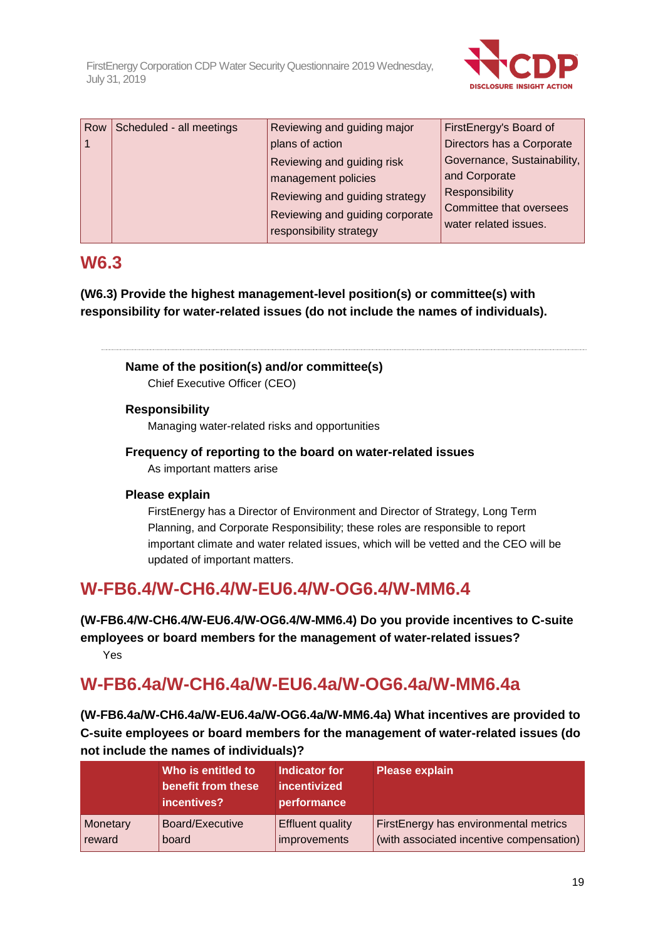

| Row | Scheduled - all meetings | Reviewing and guiding major     | FirstEnergy's Board of      |
|-----|--------------------------|---------------------------------|-----------------------------|
|     |                          | plans of action                 | Directors has a Corporate   |
|     |                          | Reviewing and guiding risk      | Governance, Sustainability, |
|     |                          | management policies             | and Corporate               |
|     |                          | Reviewing and guiding strategy  | Responsibility              |
|     |                          | Reviewing and guiding corporate | Committee that oversees     |
|     |                          | responsibility strategy         | water related issues.       |

# **W6.3**

**(W6.3) Provide the highest management-level position(s) or committee(s) with responsibility for water-related issues (do not include the names of individuals).**

**Name of the position(s) and/or committee(s)** Chief Executive Officer (CEO)

## **Responsibility**

Managing water-related risks and opportunities

### **Frequency of reporting to the board on water-related issues**

As important matters arise

#### **Please explain**

FirstEnergy has a Director of Environment and Director of Strategy, Long Term Planning, and Corporate Responsibility; these roles are responsible to report important climate and water related issues, which will be vetted and the CEO will be updated of important matters.

# **W-FB6.4/W-CH6.4/W-EU6.4/W-OG6.4/W-MM6.4**

**(W-FB6.4/W-CH6.4/W-EU6.4/W-OG6.4/W-MM6.4) Do you provide incentives to C-suite employees or board members for the management of water-related issues?** Yes

# **W-FB6.4a/W-CH6.4a/W-EU6.4a/W-OG6.4a/W-MM6.4a**

**(W-FB6.4a/W-CH6.4a/W-EU6.4a/W-OG6.4a/W-MM6.4a) What incentives are provided to C-suite employees or board members for the management of water-related issues (do not include the names of individuals)?**

|          | Who is entitled to<br>benefit from these<br>incentives? | Indicator for<br>incentivized<br>performance | <b>Please explain</b>                    |
|----------|---------------------------------------------------------|----------------------------------------------|------------------------------------------|
| Monetary | Board/Executive                                         | <b>Effluent quality</b>                      | FirstEnergy has environmental metrics    |
| reward   | board                                                   | improvements                                 | (with associated incentive compensation) |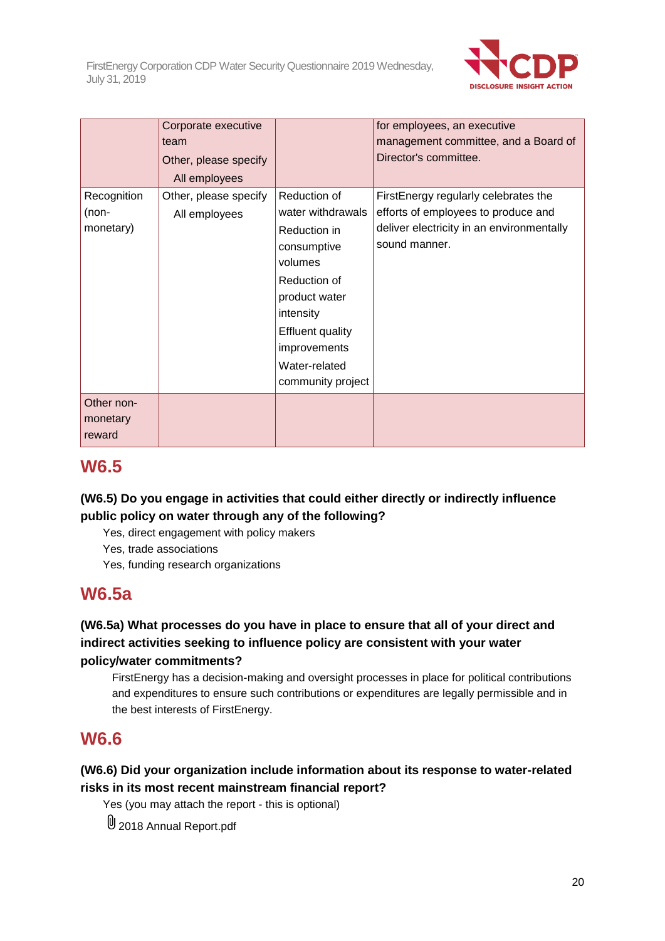

|                                   | Corporate executive<br>team<br>Other, please specify<br>All employees |                                                                                                                                                                                                            | for employees, an executive<br>management committee, and a Board of<br>Director's committee.                                              |
|-----------------------------------|-----------------------------------------------------------------------|------------------------------------------------------------------------------------------------------------------------------------------------------------------------------------------------------------|-------------------------------------------------------------------------------------------------------------------------------------------|
| Recognition<br>(non-<br>monetary) | Other, please specify<br>All employees                                | Reduction of<br>water withdrawals<br>Reduction in<br>consumptive<br>volumes<br>Reduction of<br>product water<br>intensity<br><b>Effluent quality</b><br>improvements<br>Water-related<br>community project | FirstEnergy regularly celebrates the<br>efforts of employees to produce and<br>deliver electricity in an environmentally<br>sound manner. |
| Other non-<br>monetary<br>reward  |                                                                       |                                                                                                                                                                                                            |                                                                                                                                           |

# **W6.5**

**(W6.5) Do you engage in activities that could either directly or indirectly influence public policy on water through any of the following?**

- Yes, direct engagement with policy makers
- Yes, trade associations
- Yes, funding research organizations

# **W6.5a**

## **(W6.5a) What processes do you have in place to ensure that all of your direct and indirect activities seeking to influence policy are consistent with your water policy/water commitments?**

FirstEnergy has a decision-making and oversight processes in place for political contributions and expenditures to ensure such contributions or expenditures are legally permissible and in the best interests of FirstEnergy.

# **W6.6**

## **(W6.6) Did your organization include information about its response to water-related risks in its most recent mainstream financial report?**

Yes (you may attach the report - this is optional)

U 2018 Annual Report.pdf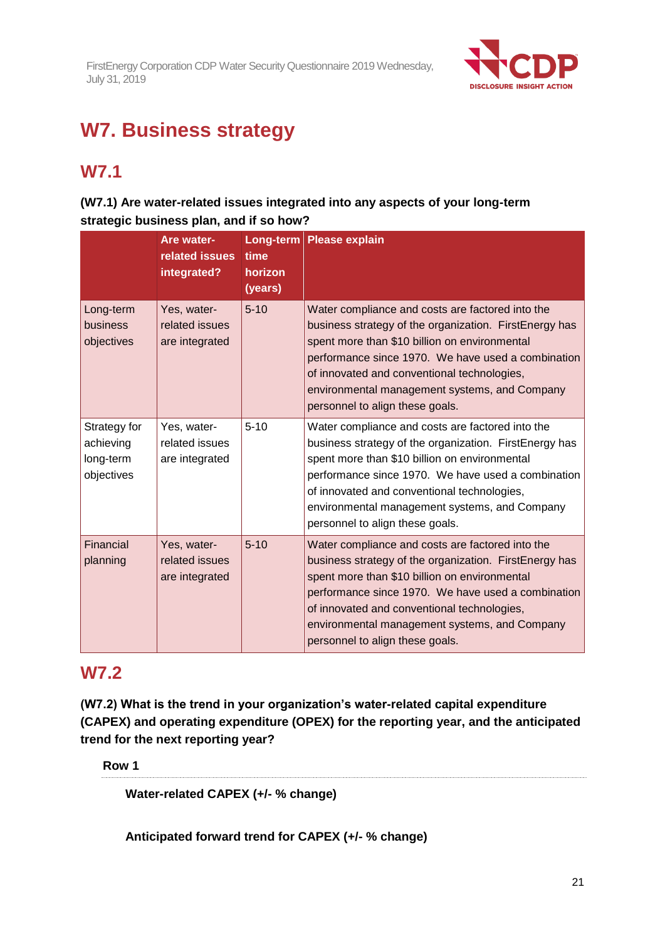

# **W7. Business strategy**

# **W7.1**

## **(W7.1) Are water-related issues integrated into any aspects of your long-term strategic business plan, and if so how?**

|                                                      | Are water-<br>related issues<br>integrated?     | time<br>horizon<br>(years) | Long-term Please explain                                                                                                                                                                                                                                                                                                                             |
|------------------------------------------------------|-------------------------------------------------|----------------------------|------------------------------------------------------------------------------------------------------------------------------------------------------------------------------------------------------------------------------------------------------------------------------------------------------------------------------------------------------|
| Long-term<br>business<br>objectives                  | Yes, water-<br>related issues<br>are integrated | $5 - 10$                   | Water compliance and costs are factored into the<br>business strategy of the organization. FirstEnergy has<br>spent more than \$10 billion on environmental<br>performance since 1970. We have used a combination<br>of innovated and conventional technologies,<br>environmental management systems, and Company<br>personnel to align these goals. |
| Strategy for<br>achieving<br>long-term<br>objectives | Yes, water-<br>related issues<br>are integrated | $5 - 10$                   | Water compliance and costs are factored into the<br>business strategy of the organization. FirstEnergy has<br>spent more than \$10 billion on environmental<br>performance since 1970. We have used a combination<br>of innovated and conventional technologies,<br>environmental management systems, and Company<br>personnel to align these goals. |
| Financial<br>planning                                | Yes, water-<br>related issues<br>are integrated | $5 - 10$                   | Water compliance and costs are factored into the<br>business strategy of the organization. FirstEnergy has<br>spent more than \$10 billion on environmental<br>performance since 1970. We have used a combination<br>of innovated and conventional technologies,<br>environmental management systems, and Company<br>personnel to align these goals. |

# **W7.2**

**(W7.2) What is the trend in your organization's water-related capital expenditure (CAPEX) and operating expenditure (OPEX) for the reporting year, and the anticipated trend for the next reporting year?**

**Row 1**

**Water-related CAPEX (+/- % change)**

**Anticipated forward trend for CAPEX (+/- % change)**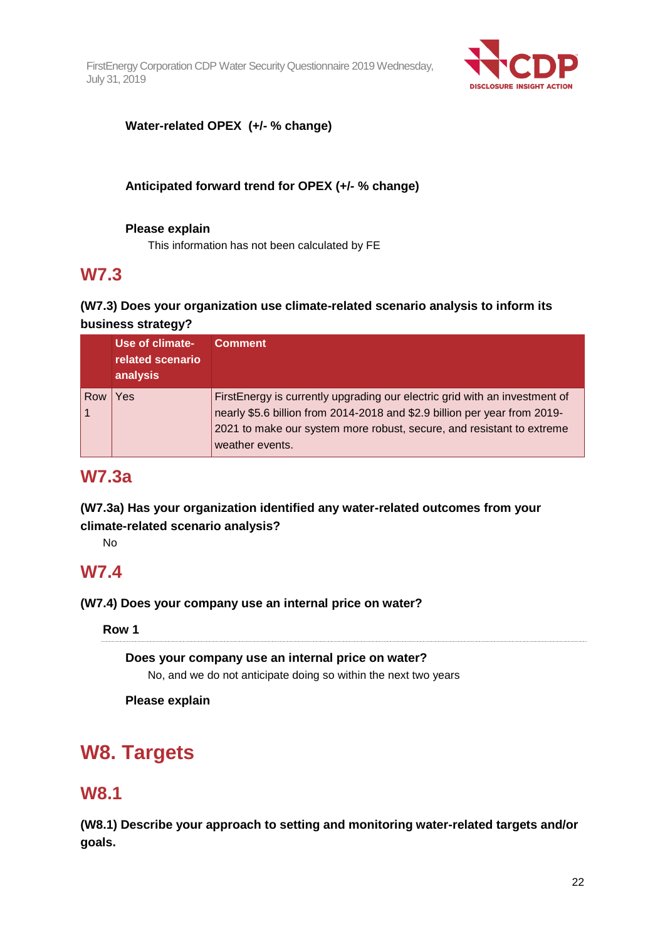

**Water-related OPEX (+/- % change)**

## **Anticipated forward trend for OPEX (+/- % change)**

#### **Please explain**

This information has not been calculated by FE

# **W7.3**

## **(W7.3) Does your organization use climate-related scenario analysis to inform its business strategy?**

|     | Use of climate-<br>related scenario<br>analysis | <b>Comment</b>                                                                                                                                                                                                                                      |
|-----|-------------------------------------------------|-----------------------------------------------------------------------------------------------------------------------------------------------------------------------------------------------------------------------------------------------------|
| Row | Yes                                             | FirstEnergy is currently upgrading our electric grid with an investment of<br>nearly \$5.6 billion from 2014-2018 and \$2.9 billion per year from 2019-<br>2021 to make our system more robust, secure, and resistant to extreme<br>weather events. |

# **W7.3a**

**(W7.3a) Has your organization identified any water-related outcomes from your climate-related scenario analysis?**

No

# **W7.4**

**(W7.4) Does your company use an internal price on water?**

**Row 1**

## **Does your company use an internal price on water?**

No, and we do not anticipate doing so within the next two years

**Please explain**

# **W8. Targets**

# **W8.1**

**(W8.1) Describe your approach to setting and monitoring water-related targets and/or goals.**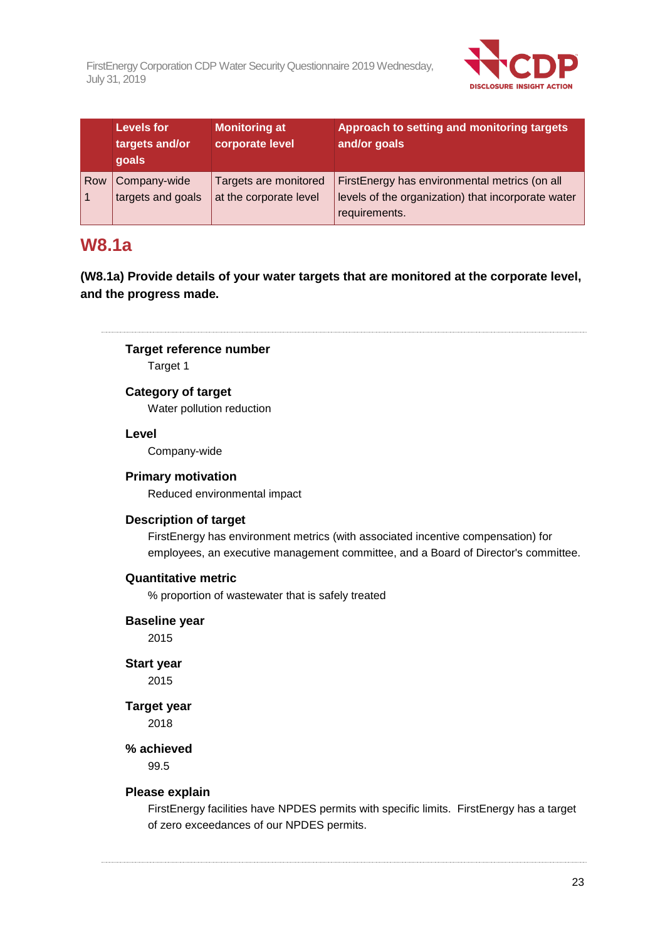

|     | <b>Levels for</b><br>targets and/or<br>goals | <b>Monitoring at</b><br>corporate level | Approach to setting and monitoring targets<br>and/or goals |
|-----|----------------------------------------------|-----------------------------------------|------------------------------------------------------------|
| Row | Company-wide                                 | Targets are monitored                   | FirstEnergy has environmental metrics (on all              |
|     | targets and goals                            | at the corporate level                  | levels of the organization) that incorporate water         |
|     |                                              |                                         | requirements.                                              |

## **W8.1a**

**(W8.1a) Provide details of your water targets that are monitored at the corporate level, and the progress made.**

**Target reference number** Target 1

## **Category of target**

Water pollution reduction

#### **Level**

Company-wide

#### **Primary motivation**

Reduced environmental impact

#### **Description of target**

FirstEnergy has environment metrics (with associated incentive compensation) for employees, an executive management committee, and a Board of Director's committee.

#### **Quantitative metric**

% proportion of wastewater that is safely treated

**Baseline year**

2015

**Start year** 2015

**Target year**

2018

**% achieved**

99.5

#### **Please explain**

FirstEnergy facilities have NPDES permits with specific limits. FirstEnergy has a target of zero exceedances of our NPDES permits.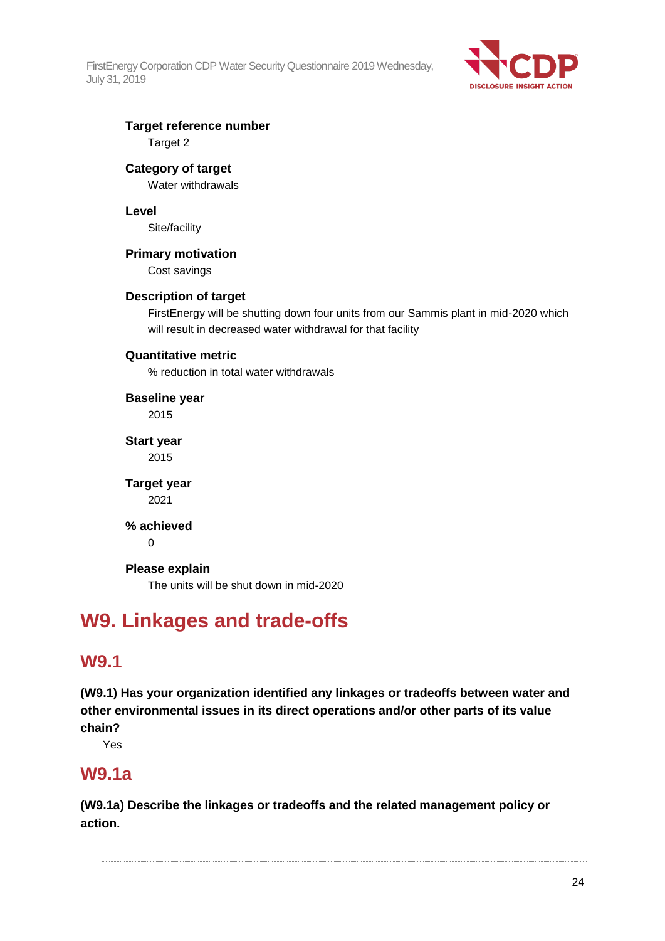

# **Target reference number**

Target 2

### **Category of target**

Water withdrawals

#### **Level**

Site/facility

#### **Primary motivation**

Cost savings

#### **Description of target**

FirstEnergy will be shutting down four units from our Sammis plant in mid-2020 which will result in decreased water withdrawal for that facility

#### **Quantitative metric**

% reduction in total water withdrawals

**Baseline year** 2015 **Start year**

2015

**Target year** 2021

#### **% achieved**

 $\Omega$ 

**Please explain** The units will be shut down in mid-2020

# **W9. Linkages and trade-offs**

## **W9.1**

**(W9.1) Has your organization identified any linkages or tradeoffs between water and other environmental issues in its direct operations and/or other parts of its value chain?**

Yes

# **W9.1a**

**(W9.1a) Describe the linkages or tradeoffs and the related management policy or action.**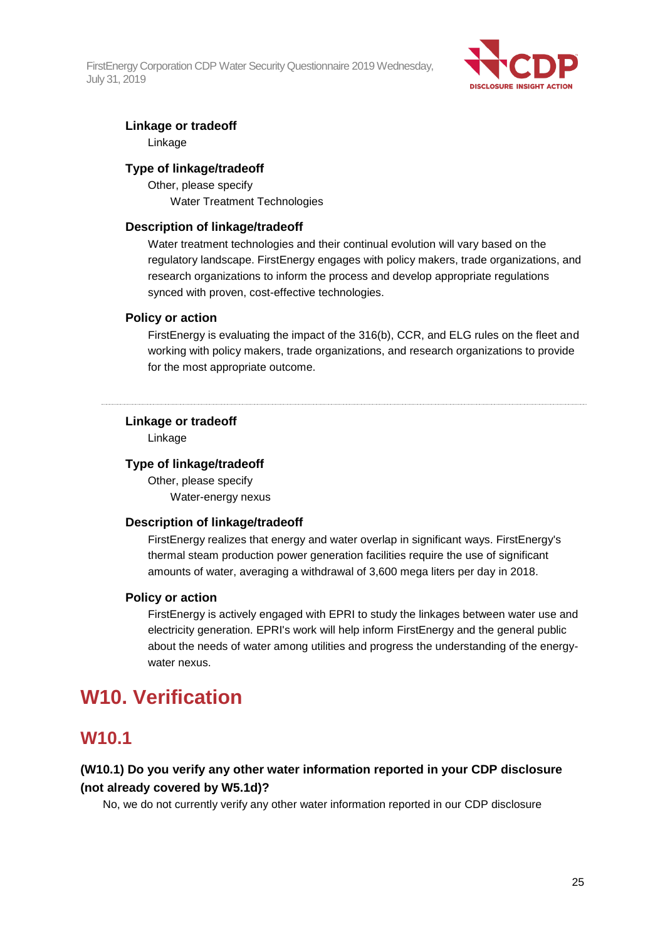

#### **Linkage or tradeoff**

Linkage

#### **Type of linkage/tradeoff**

Other, please specify Water Treatment Technologies

#### **Description of linkage/tradeoff**

Water treatment technologies and their continual evolution will vary based on the regulatory landscape. FirstEnergy engages with policy makers, trade organizations, and research organizations to inform the process and develop appropriate regulations synced with proven, cost-effective technologies.

#### **Policy or action**

FirstEnergy is evaluating the impact of the 316(b), CCR, and ELG rules on the fleet and working with policy makers, trade organizations, and research organizations to provide for the most appropriate outcome.

#### **Linkage or tradeoff**

Linkage

#### **Type of linkage/tradeoff**

Other, please specify Water-energy nexus

#### **Description of linkage/tradeoff**

FirstEnergy realizes that energy and water overlap in significant ways. FirstEnergy's thermal steam production power generation facilities require the use of significant amounts of water, averaging a withdrawal of 3,600 mega liters per day in 2018.

#### **Policy or action**

FirstEnergy is actively engaged with EPRI to study the linkages between water use and electricity generation. EPRI's work will help inform FirstEnergy and the general public about the needs of water among utilities and progress the understanding of the energywater nexus.

# **W10. Verification**

## **W10.1**

## **(W10.1) Do you verify any other water information reported in your CDP disclosure (not already covered by W5.1d)?**

No, we do not currently verify any other water information reported in our CDP disclosure